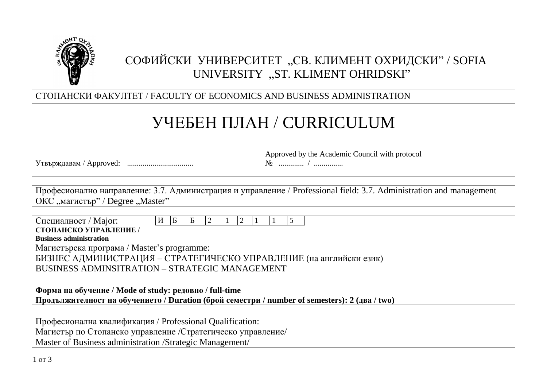

# СОФИЙСКИ УНИВЕРСИТЕТ "СВ. КЛИМЕНТ ОХРИДСКИ" / SOFIA UNIVERSITY "ST. KLIMENT OHRIDSKI"

СТОПАНСКИ ФАКУЛТЕТ / FACULTY OF ECONOMICS AND BUSINESS ADMINISTRATION

# УЧЕБЕН ПЛАН / CURRICULUM

Утвърждавам / Approved: ..................................

Approved by the Academic Council with protocol № ............. / ...............

Професионално направление: 3.7. Администрация и управление / Professional field: 3.7. Administration and management ОКС "магистър" / Degree "Master"

| Специалност / Major:                                                | $H \mid E$ |  | Б | 2 |  | <u>2</u> |  |  |  |  |
|---------------------------------------------------------------------|------------|--|---|---|--|----------|--|--|--|--|
| СТОПАНСКО УПРАВЛЕНИЕ /                                              |            |  |   |   |  |          |  |  |  |  |
| <b>Business administration</b>                                      |            |  |   |   |  |          |  |  |  |  |
| Магистърска програма / Master's programme:                          |            |  |   |   |  |          |  |  |  |  |
| БИЗНЕС АДМИНИСТРАЦИЯ – СТРАТЕГИЧЕСКО УПРАВЛЕНИЕ (на английски език) |            |  |   |   |  |          |  |  |  |  |
| <b>BUSINESS ADMINSITRATION - STRATEGIC MANAGEMENT</b>               |            |  |   |   |  |          |  |  |  |  |

**Форма на обучение / Mode of study: редовно / full-time Продължителност на обучението / Duration (брой семестри / number of semesters): 2 (два / two)**

Професионална квалификация / Professional Qualification: Магистър по Стопанско управление /Стратегическо управление/ Master of Business administration /Strategic Management/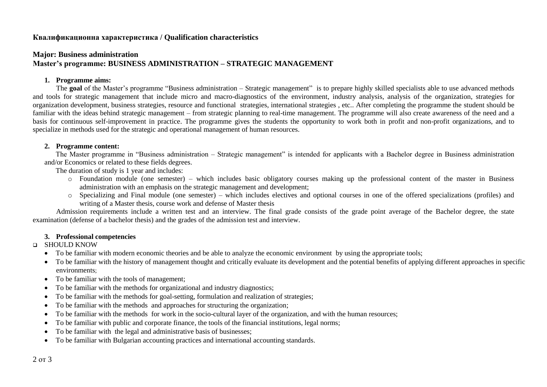# **Квалификационна характеристика / Qualification characteristics**

# **Major: Business administration Master's programme: BUSINESS ADMINISTRATION – STRATEGIC MANAGEMENT**

#### **1. Programme aims:**

The **goal** of the Master's programme "Business administration – Strategic management" is to prepare highly skilled specialists able to use advanced methods and tools for strategic management that include micro and macro-diagnostics of the environment, industry analysis, analysis of the organization, strategies for organization development, business strategies, resource and functional strategies, international strategies , etc.. After completing the programme the student should be familiar with the ideas behind strategic management – from strategic planning to real-time management. The programme will also create awareness of the need and a basis for continuous self-improvement in practice. The programme gives the students the opportunity to work both in profit and non-profit organizations, and to specialize in methods used for the strategic and operational management of human resources.

#### **2. Programme content:**

The Master programme in "Business administration – Strategic management" is intended for applicants with a Bachelor degree in Business administration and/or Economics or related to these fields degrees.

The duration of study is 1 year and includes:

- o Foundation module (one semester) which includes basic obligatory courses making up the professional content of the master in Business administration with an emphasis on the strategic management and development;
- o Specializing and Final module (one semester) which includes electives and optional courses in one of the offered specializations (profiles) and writing of a Master thesis, course work and defense of Master thesis

Admission requirements include a written test and an interview. The final grade consists of the grade point average of the Bachelor degree, the state examination (defense of a bachelor thesis) and the grades of the admission test and interview.

#### **3. Professional competencies**

### **D** SHOULD KNOW

- To be familiar with modern economic theories and be able to analyze the economic environment by using the appropriate tools;
- To be familiar with the history of management thought and critically evaluate its development and the potential benefits of applying different approaches in specific environments;
- To be familiar with the tools of management;
- To be familiar with the methods for organizational and industry diagnostics;
- To be familiar with the methods for goal-setting, formulation and realization of strategies;
- To be familiar with the methods and approaches for structuring the organization;
- To be familiar with the methods for work in the socio-cultural layer of the organization, and with the human resources;
- To be familiar with public and corporate finance, the tools of the financial institutions, legal norms;
- To be familiar with the legal and administrative basis of businesses;
- To be familiar with Bulgarian accounting practices and international accounting standards.